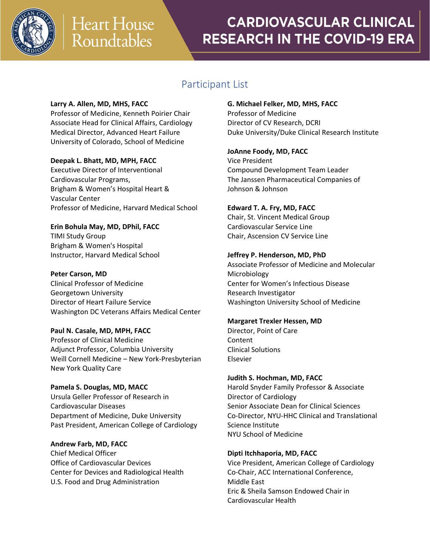

## **CARDIOVASCULAR CLINICAL RESEARCH IN THE COVID-19 ERA**

### Participant List

### **Larry A. Allen, MD, MHS, FACC**

Professor of Medicine, Kenneth Poirier Chair Associate Head for Clinical Affairs, Cardiology Medical Director, Advanced Heart Failure University of Colorado, School of Medicine

### **Deepak L. Bhatt, MD, MPH, FACC**

Executive Director of Interventional Cardiovascular Programs, Brigham & Women's Hospital Heart & Vascular Center Professor of Medicine, Harvard Medical School

**Erin Bohula May, MD, DPhil, FACC** TIMI Study Group Brigham & Women's Hospital Instructor, Harvard Medical School

**Peter Carson, MD** Clinical Professor of Medicine Georgetown University Director of Heart Failure Service Washington DC Veterans Affairs Medical Center

### **Paul N. Casale, MD, MPH, FACC**

Professor of Clinical Medicine Adjunct Professor, Columbia University Weill Cornell Medicine – New York-Presbyterian New York Quality Care

**Pamela S. Douglas, MD, MACC** Ursula Geller Professor of Research in Cardiovascular Diseases Department of Medicine, Duke University Past President, American College of Cardiology

**Andrew Farb, MD, FACC** Chief Medical Officer Office of Cardiovascular Devices Center for Devices and Radiological Health U.S. Food and Drug Administration

### **G. Michael Felker, MD, MHS, FACC**

Professor of Medicine Director of CV Research, DCRI Duke University/Duke Clinical Research Institute

### **JoAnne Foody, MD, FACC**

Vice President Compound Development Team Leader The Janssen Pharmaceutical Companies of Johnson & Johnson

### **Edward T. A. Fry, MD, FACC**

Chair, St. Vincent Medical Group Cardiovascular Service Line Chair, Ascension CV Service Line

### **Jeffrey P. Henderson, MD, PhD**

Associate Professor of Medicine and Molecular Microbiology Center for Women's Infectious Disease Research Investigator Washington University School of Medicine

### **Margaret Trexler Hessen, MD**

Director, Point of Care Content Clinical Solutions Elsevier

### **Judith S. Hochman, MD, FACC**

Harold Snyder Family Professor & Associate Director of Cardiology Senior Associate Dean for Clinical Sciences Co-Director, NYU-HHC Clinical and Translational Science Institute NYU School of Medicine

### **Dipti Itchhaporia, MD, FACC**

Vice President, American College of Cardiology Co-Chair, ACC International Conference, Middle East Eric & Sheila Samson Endowed Chair in Cardiovascular Health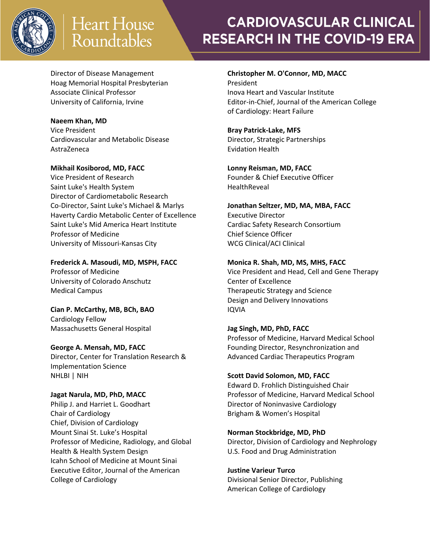

# **Heart House** Roundtables

## **CARDIOVASCULAR CLINICAL RESEARCH IN THE COVID-19 ERA**

Director of Disease Management Hoag Memorial Hospital Presbyterian Associate Clinical Professor University of California, Irvine

### **Naeem Khan, MD**

Vice President Cardiovascular and Metabolic Disease AstraZeneca

**Mikhail Kosiborod, MD, FACC** Vice President of Research Saint Luke's Health System Director of Cardiometabolic Research Co-Director, Saint Luke's Michael & Marlys Haverty Cardio Metabolic Center of Excellence Saint Luke's Mid America Heart Institute Professor of Medicine University of Missouri-Kansas City

**Frederick A. Masoudi, MD, MSPH, FACC**

Professor of Medicine University of Colorado Anschutz Medical Campus

**Cian P. McCarthy, MB, BCh, BAO** Cardiology Fellow Massachusetts General Hospital

### **George A. Mensah, MD, FACC**

Director, Center for Translation Research & Implementation Science NHLBI | NIH

### **Jagat Narula, MD, PhD, MACC**

Philip J. and Harriet L. Goodhart Chair of Cardiology Chief, Division of Cardiology Mount Sinai St. Luke's Hospital Professor of Medicine, Radiology, and Global Health & Health System Design Icahn School of Medicine at Mount Sinai Executive Editor, Journal of the American College of Cardiology

## **Christopher M. O'Connor, MD, MACC**

President Inova Heart and Vascular Institute Editor-in-Chief, Journal of the American College of Cardiology: Heart Failure

### **Bray Patrick-Lake, MFS**

Director, Strategic Partnerships Evidation Health

### **Lonny Reisman, MD, FACC**

Founder & Chief Executive Officer **HealthReveal** 

### **Jonathan Seltzer, MD, MA, MBA, FACC**

Executive Director Cardiac Safety Research Consortium Chief Science Officer WCG Clinical/ACI Clinical

### **Monica R. Shah, MD, MS, MHS, FACC**

Vice President and Head, Cell and Gene Therapy Center of Excellence Therapeutic Strategy and Science Design and Delivery Innovations IQVIA

### **Jag Singh, MD, PhD, FACC**

Professor of Medicine, Harvard Medical School Founding Director, Resynchronization and Advanced Cardiac Therapeutics Program

### **Scott David Solomon, MD, FACC**

Edward D. Frohlich Distinguished Chair Professor of Medicine, Harvard Medical School Director of Noninvasive Cardiology Brigham & Women's Hospital

### **Norman Stockbridge, MD, PhD**

Director, Division of Cardiology and Nephrology U.S. Food and Drug Administration

### **Justine Varieur Turco**

Divisional Senior Director, Publishing American College of Cardiology